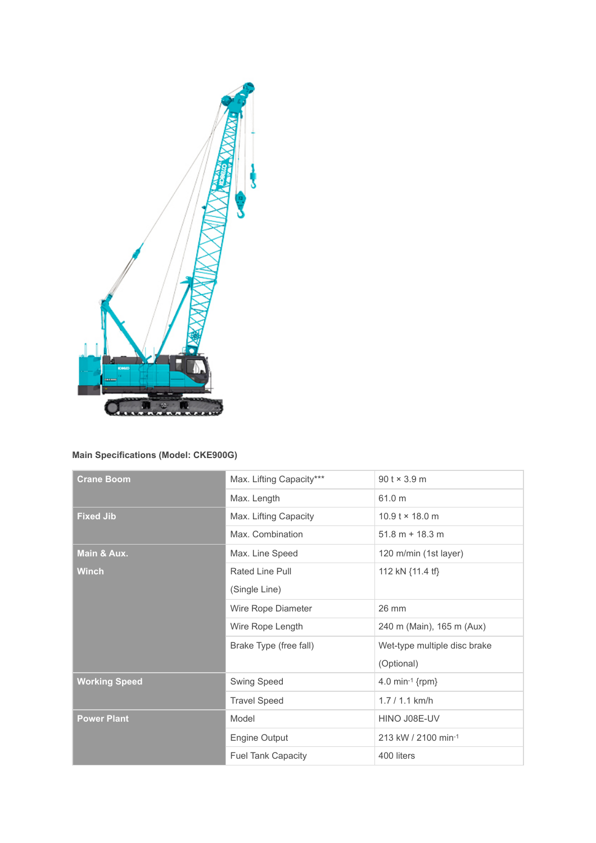

## **Main Specifications (Model: CKE900G)**

| <b>Crane Boom</b>    | Max. Lifting Capacity***  | $90$ t $\times$ 3.9 m        |
|----------------------|---------------------------|------------------------------|
|                      | Max. Length               | 61.0 m                       |
|                      |                           |                              |
| <b>Fixed Jib</b>     | Max. Lifting Capacity     | $10.9$ t $\times$ 18.0 m     |
|                      | Max. Combination          | $51.8 m + 18.3 m$            |
| Main & Aux.          | Max. Line Speed           | 120 m/min (1st layer)        |
| <b>Winch</b>         | Rated Line Pull           | 112 kN {11.4 tf}             |
|                      | (Single Line)             |                              |
|                      | Wire Rope Diameter        | 26 mm                        |
|                      | Wire Rope Length          | 240 m (Main), 165 m (Aux)    |
|                      | Brake Type (free fall)    | Wet-type multiple disc brake |
|                      |                           | (Optional)                   |
| <b>Working Speed</b> | Swing Speed               | 4.0 min-1 ${rpm}$            |
|                      | <b>Travel Speed</b>       | $1.7 / 1.1$ km/h             |
| <b>Power Plant</b>   | Model                     | HINO J08E-UV                 |
|                      | Engine Output             | 213 kW / 2100 min-1          |
|                      | <b>Fuel Tank Capacity</b> | 400 liters                   |